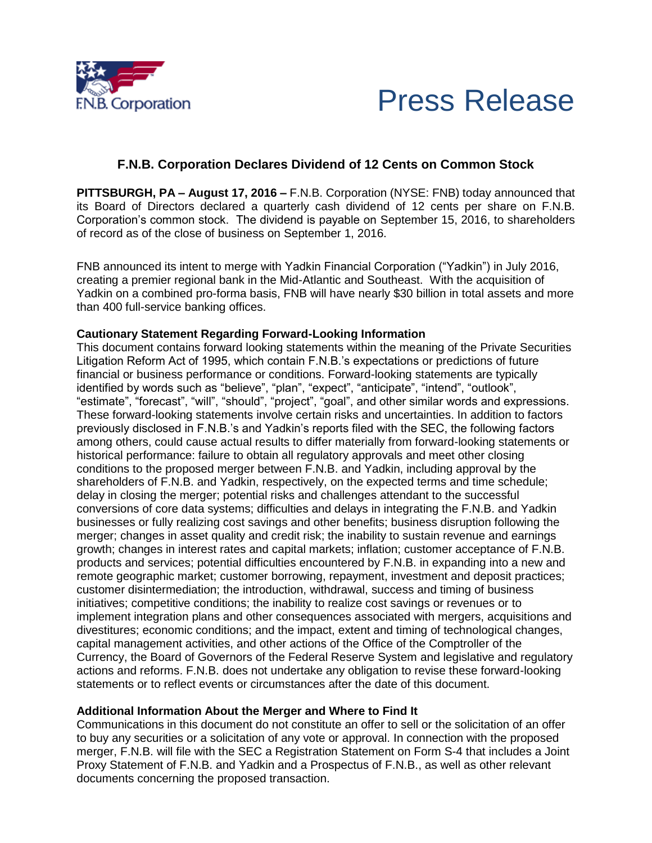



## **F.N.B. Corporation Declares Dividend of 12 Cents on Common Stock**

**PITTSBURGH, PA – August 17, 2016 –** F.N.B. Corporation (NYSE: FNB) today announced that its Board of Directors declared a quarterly cash dividend of 12 cents per share on F.N.B. Corporation's common stock. The dividend is payable on September 15, 2016, to shareholders of record as of the close of business on September 1, 2016.

FNB announced its intent to merge with Yadkin Financial Corporation ("Yadkin") in July 2016, creating a premier regional bank in the Mid-Atlantic and Southeast. With the acquisition of Yadkin on a combined pro-forma basis, FNB will have nearly \$30 billion in total assets and more than 400 full-service banking offices.

## **Cautionary Statement Regarding Forward-Looking Information**

This document contains forward looking statements within the meaning of the Private Securities Litigation Reform Act of 1995, which contain F.N.B.'s expectations or predictions of future financial or business performance or conditions. Forward-looking statements are typically identified by words such as "believe", "plan", "expect", "anticipate", "intend", "outlook", "estimate", "forecast", "will", "should", "project", "goal", and other similar words and expressions. These forward-looking statements involve certain risks and uncertainties. In addition to factors previously disclosed in F.N.B.'s and Yadkin's reports filed with the SEC, the following factors among others, could cause actual results to differ materially from forward-looking statements or historical performance: failure to obtain all regulatory approvals and meet other closing conditions to the proposed merger between F.N.B. and Yadkin, including approval by the shareholders of F.N.B. and Yadkin, respectively, on the expected terms and time schedule; delay in closing the merger; potential risks and challenges attendant to the successful conversions of core data systems; difficulties and delays in integrating the F.N.B. and Yadkin businesses or fully realizing cost savings and other benefits; business disruption following the merger; changes in asset quality and credit risk; the inability to sustain revenue and earnings growth; changes in interest rates and capital markets; inflation; customer acceptance of F.N.B. products and services; potential difficulties encountered by F.N.B. in expanding into a new and remote geographic market; customer borrowing, repayment, investment and deposit practices; customer disintermediation; the introduction, withdrawal, success and timing of business initiatives; competitive conditions; the inability to realize cost savings or revenues or to implement integration plans and other consequences associated with mergers, acquisitions and divestitures; economic conditions; and the impact, extent and timing of technological changes, capital management activities, and other actions of the Office of the Comptroller of the Currency, the Board of Governors of the Federal Reserve System and legislative and regulatory actions and reforms. F.N.B. does not undertake any obligation to revise these forward-looking statements or to reflect events or circumstances after the date of this document.

## **Additional Information About the Merger and Where to Find It**

Communications in this document do not constitute an offer to sell or the solicitation of an offer to buy any securities or a solicitation of any vote or approval. In connection with the proposed merger, F.N.B. will file with the SEC a Registration Statement on Form S-4 that includes a Joint Proxy Statement of F.N.B. and Yadkin and a Prospectus of F.N.B., as well as other relevant documents concerning the proposed transaction.